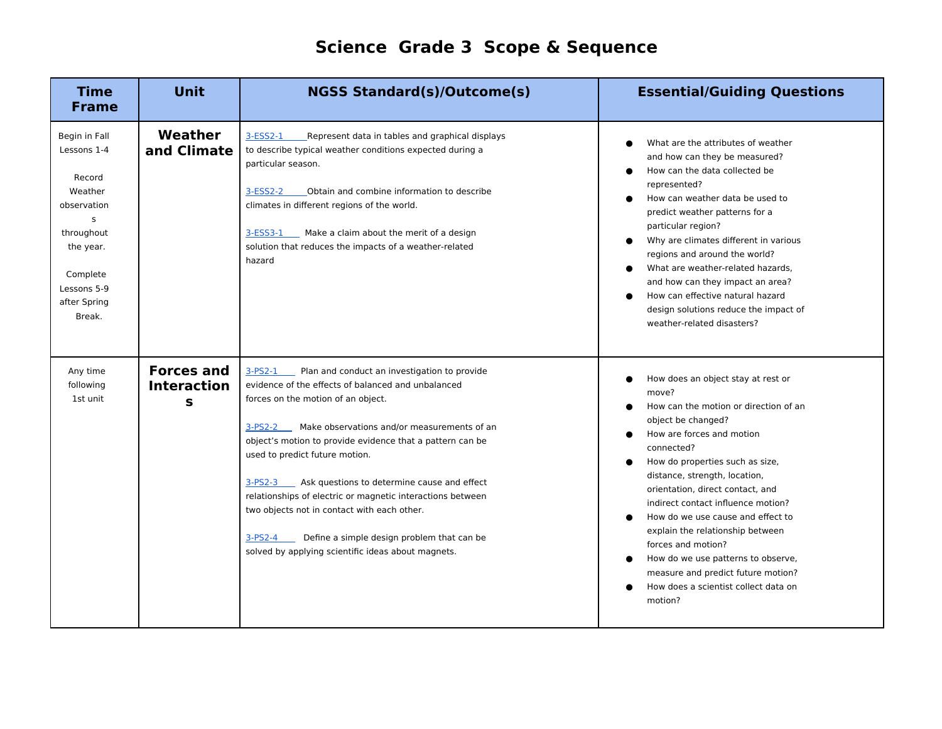## **Science Grade 3 Scope & Sequence**

| <b>Time</b><br><b>Frame</b>                                                                                                                           | <b>Unit</b>                                  | <b>NGSS Standard(s)/Outcome(s)</b>                                                                                                                                                                                                                                                                                                                                                                                                                                                                                                                                                                         | <b>Essential/Guiding Questions</b>                                                                                                                                                                                                                                                                                                                                                                                                                                                                                                |
|-------------------------------------------------------------------------------------------------------------------------------------------------------|----------------------------------------------|------------------------------------------------------------------------------------------------------------------------------------------------------------------------------------------------------------------------------------------------------------------------------------------------------------------------------------------------------------------------------------------------------------------------------------------------------------------------------------------------------------------------------------------------------------------------------------------------------------|-----------------------------------------------------------------------------------------------------------------------------------------------------------------------------------------------------------------------------------------------------------------------------------------------------------------------------------------------------------------------------------------------------------------------------------------------------------------------------------------------------------------------------------|
| Begin in Fall<br>Lessons 1-4<br>Record<br>Weather<br>observation<br>S<br>throughout<br>the year.<br>Complete<br>Lessons 5-9<br>after Spring<br>Break. | Weather<br>and Climate                       | $3-ESS2-1$<br>Represent data in tables and graphical displays<br>to describe typical weather conditions expected during a<br>particular season.<br>Obtain and combine information to describe<br>3-ESS2-2<br>climates in different regions of the world.<br>$3-ESS3-1$<br>Make a claim about the merit of a design<br>solution that reduces the impacts of a weather-related<br>hazard                                                                                                                                                                                                                     | What are the attributes of weather<br>and how can they be measured?<br>How can the data collected be<br>represented?<br>How can weather data be used to<br>predict weather patterns for a<br>particular region?<br>Why are climates different in various<br>regions and around the world?<br>What are weather-related hazards,<br>and how can they impact an area?<br>How can effective natural hazard<br>design solutions reduce the impact of<br>weather-related disasters?                                                     |
| Any time<br>following<br>1st unit                                                                                                                     | <b>Forces and</b><br><b>Interaction</b><br>S | $3-PS2-1$<br>Plan and conduct an investigation to provide<br>evidence of the effects of balanced and unbalanced<br>forces on the motion of an object.<br>Make observations and/or measurements of an<br>$3-PS2-2$<br>object's motion to provide evidence that a pattern can be<br>used to predict future motion.<br>Ask questions to determine cause and effect<br>$3-PS2-3$<br>relationships of electric or magnetic interactions between<br>two objects not in contact with each other.<br>Define a simple design problem that can be<br>$3-PS2-4$<br>solved by applying scientific ideas about magnets. | How does an object stay at rest or<br>move?<br>How can the motion or direction of an<br>object be changed?<br>How are forces and motion<br>connected?<br>How do properties such as size,<br>distance, strength, location,<br>orientation, direct contact, and<br>indirect contact influence motion?<br>How do we use cause and effect to<br>explain the relationship between<br>forces and motion?<br>How do we use patterns to observe,<br>measure and predict future motion?<br>How does a scientist collect data on<br>motion? |